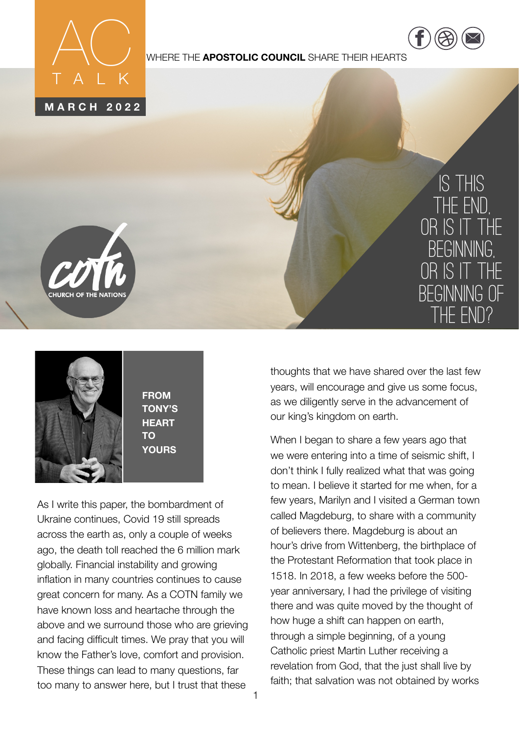

WHERE THE **APOSTOLIC COUNCIL** SHARE THEIR HEARTS





**FROM TONY'S HEART TO YOURS**

As I write this paper, the bombardment of Ukraine continues, Covid 19 still spreads across the earth as, only a couple of weeks ago, the death toll reached the 6 million mark globally. Financial instability and growing inflation in many countries continues to cause great concern for many. As a COTN family we have known loss and heartache through the above and we surround those who are grieving and facing difficult times. We pray that you will know the Father's love, comfort and provision. These things can lead to many questions, far too many to answer here, but I trust that these

thoughts that we have shared over the last few years, will encourage and give us some focus, as we diligently serve in the advancement of our king's kingdom on earth.

Is this

[https://](https://www.facebook.com/COTNATIONS)

 $\mathbf{F}$   $\mathbf{A}$   $\mathbf{A}$ 

the end,

or is it the

**BEGINNING** 

BEGINNING OF

the end?

OR IS IT T

When I began to share a few years ago that we were entering into a time of seismic shift, I don't think I fully realized what that was going to mean. I believe it started for me when, for a few years, Marilyn and I visited a German town called Magdeburg, to share with a community of believers there. Magdeburg is about an hour's drive from Wittenberg, the birthplace of the Protestant Reformation that took place in 1518. In 2018, a few weeks before the 500 year anniversary, I had the privilege of visiting there and was quite moved by the thought of how huge a shift can happen on earth, through a simple beginning, of a young Catholic priest Martin Luther receiving a revelation from God, that the just shall live by faith; that salvation was not obtained by works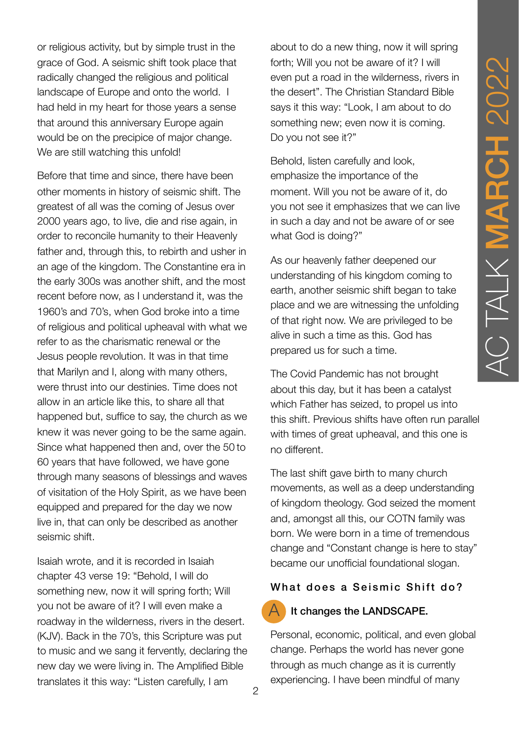or religious activity, but by simple trust in the grace of God. A seismic shift took place that radically changed the religious and political landscape of Europe and onto the world. I had held in my heart for those years a sense that around this anniversary Europe again would be on the precipice of major change. We are still watching this unfold!

Before that time and since, there have been other moments in history of seismic shift. The greatest of all was the coming of Jesus over 2000 years ago, to live, die and rise again, in order to reconcile humanity to their Heavenly father and, through this, to rebirth and usher in an age of the kingdom. The Constantine era in the early 300s was another shift, and the most recent before now, as I understand it, was the 1960's and 70's, when God broke into a time of religious and political upheaval with what we refer to as the charismatic renewal or the Jesus people revolution. It was in that time that Marilyn and I, along with many others, were thrust into our destinies. Time does not allow in an article like this, to share all that happened but, suffice to say, the church as we knew it was never going to be the same again. Since what happened then and, over the 50 to 60 years that have followed, we have gone through many seasons of blessings and waves of visitation of the Holy Spirit, as we have been equipped and prepared for the day we now live in, that can only be described as another seismic shift.

Isaiah wrote, and it is recorded in Isaiah chapter 43 verse 19: "Behold, I will do something new, now it will spring forth; Will you not be aware of it? I will even make a roadway in the wilderness, rivers in the desert. (KJV). Back in the 70's, this Scripture was put to music and we sang it fervently, declaring the new day we were living in. The Amplified Bible translates it this way: "Listen carefully, I am

about to do a new thing, now it will spring forth; Will you not be aware of it? I will even put a road in the wilderness, rivers in the desert". The Christian Standard Bible says it this way: "Look, I am about to do something new; even now it is coming. Do you not see it?"

Behold, listen carefully and look, emphasize the importance of the moment. Will you not be aware of it, do you not see it emphasizes that we can live in such a day and not be aware of or see what God is doing?"

As our heavenly father deepened our understanding of his kingdom coming to earth, another seismic shift began to take place and we are witnessing the unfolding of that right now. We are privileged to be alive in such a time as this. God has prepared us for such a time.

The Covid Pandemic has not brought about this day, but it has been a catalyst which Father has seized, to propel us into this shift. Previous shifts have often run parallel with times of great upheaval, and this one is no different.

The last shift gave birth to many church movements, as well as a deep understanding of kingdom theology. God seized the moment and, amongst all this, our COTN family was born. We were born in a time of tremendous change and "Constant change is here to stay" became our unofficial foundational slogan.

### What does a Seismic Shift do?

#### It changes the LANDSCAPE. A

Personal, economic, political, and even global change. Perhaps the world has never gone through as much change as it is currently experiencing. I have been mindful of many